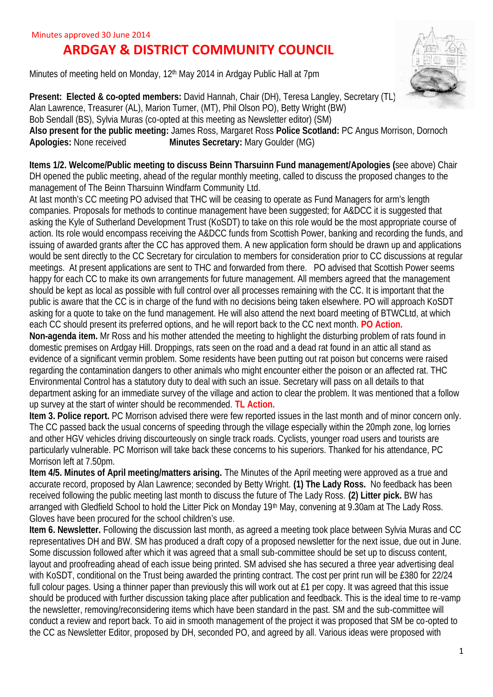## **ARDGAY & DISTRICT COMMUNITY COUNCIL**

Minutes of meeting held on Monday, 12<sup>th</sup> May 2014 in Ardgay Public Hall at 7pm



**Present: Elected & co-opted members:** David Hannah, Chair (DH), Teresa Langley, Secretary (TL) Alan Lawrence, Treasurer (AL), Marion Turner, (MT), Phil Olson PO), Betty Wright (BW) Bob Sendall (BS), Sylvia Muras (co-opted at this meeting as Newsletter editor) (SM) **Also present for the public meeting:** James Ross, Margaret Ross **Police Scotland:** PC Angus Morrison, Dornoch **Apologies:** None received **Minutes Secretary:** Mary Goulder (MG)

**Items 1/2. Welcome/Public meeting to discuss Beinn Tharsuinn Fund management/Apologies (**see above) Chair DH opened the public meeting, ahead of the regular monthly meeting, called to discuss the proposed changes to the management of The Beinn Tharsuinn Windfarm Community Ltd.

At last month's CC meeting PO advised that THC will be ceasing to operate as Fund Managers for arm's length companies. Proposals for methods to continue management have been suggested; for A&DCC it is suggested that asking the Kyle of Sutherland Development Trust (KoSDT) to take on this role would be the most appropriate course of action. Its role would encompass receiving the A&DCC funds from Scottish Power, banking and recording the funds, and issuing of awarded grants after the CC has approved them. A new application form should be drawn up and applications would be sent directly to the CC Secretary for circulation to members for consideration prior to CC discussions at regular meetings. At present applications are sent to THC and forwarded from there. PO advised that Scottish Power seems happy for each CC to make its own arrangements for future management. All members agreed that the management should be kept as local as possible with full control over all processes remaining with the CC. It is important that the public is aware that the CC is in charge of the fund with no decisions being taken elsewhere. PO will approach KoSDT asking for a quote to take on the fund management. He will also attend the next board meeting of BTWCLtd, at which each CC should present its preferred options, and he will report back to the CC next month. **PO Action.**

**Non-agenda item.** Mr Ross and his mother attended the meeting to highlight the disturbing problem of rats found in domestic premises on Ardgay Hill. Droppings, rats seen on the road and a dead rat found in an attic all stand as evidence of a significant vermin problem. Some residents have been putting out rat poison but concerns were raised regarding the contamination dangers to other animals who might encounter either the poison or an affected rat. THC Environmental Control has a statutory duty to deal with such an issue. Secretary will pass on all details to that department asking for an immediate survey of the village and action to clear the problem. It was mentioned that a follow up survey at the start of winter should be recommended. **TL Action.**

**Item 3. Police report.** PC Morrison advised there were few reported issues in the last month and of minor concern only. The CC passed back the usual concerns of speeding through the village especially within the 20mph zone, log lorries and other HGV vehicles driving discourteously on single track roads. Cyclists, younger road users and tourists are particularly vulnerable. PC Morrison will take back these concerns to his superiors. Thanked for his attendance, PC Morrison left at 7.50pm.

**Item 4/5. Minutes of April meeting/matters arising.** The Minutes of the April meeting were approved as a true and accurate record, proposed by Alan Lawrence; seconded by Betty Wright. **(1) The Lady Ross.** No feedback has been received following the public meeting last month to discuss the future of The Lady Ross. **(2) Litter pick.** BW has arranged with Gledfield School to hold the Litter Pick on Monday 19th May, convening at 9.30am at The Lady Ross. Gloves have been procured for the school children's use.

**Item 6. Newsletter.** Following the discussion last month, as agreed a meeting took place between Sylvia Muras and CC representatives DH and BW. SM has produced a draft copy of a proposed newsletter for the next issue, due out in June. Some discussion followed after which it was agreed that a small sub-committee should be set up to discuss content, layout and proofreading ahead of each issue being printed. SM advised she has secured a three year advertising deal with KoSDT, conditional on the Trust being awarded the printing contract. The cost per print run will be £380 for 22/24 full colour pages. Using a thinner paper than previously this will work out at £1 per copy. It was agreed that this issue should be produced with further discussion taking place after publication and feedback. This is the ideal time to re-vamp the newsletter, removing/reconsidering items which have been standard in the past. SM and the sub-committee will conduct a review and report back. To aid in smooth management of the project it was proposed that SM be co-opted to the CC as Newsletter Editor, proposed by DH, seconded PO, and agreed by all. Various ideas were proposed with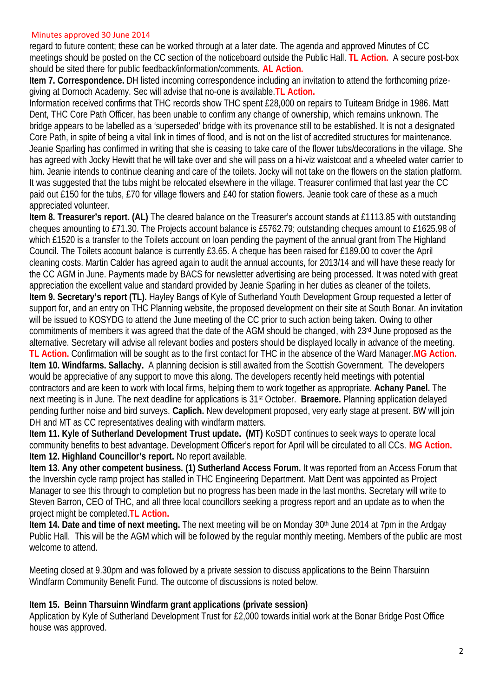## Minutes approved 30 June 2014

regard to future content; these can be worked through at a later date. The agenda and approved Minutes of CC meetings should be posted on the CC section of the noticeboard outside the Public Hall. **TL Action.** A secure post-box should be sited there for public feedback/information/comments. **AL Action.**

**Item 7. Correspondence.** DH listed incoming correspondence including an invitation to attend the forthcoming prize giving at Dornoch Academy. Sec will advise that no-one is available.**TL Action.**

Information received confirms that THC records show THC spent £28,000 on repairs to Tuiteam Bridge in 1986. Matt Dent, THC Core Path Officer, has been unable to confirm any change of ownership, which remains unknown. The bridge appears to be labelled as a 'superseded' bridge with its provenance still to be established. It is not a designated Core Path, in spite of being a vital link in times of flood, and is not on the list of accredited structures for maintenance. Jeanie Sparling has confirmed in writing that she is ceasing to take care of the flower tubs/decorations in the village. She has agreed with Jocky Hewitt that he will take over and she will pass on a hi-viz waistcoat and a wheeled water carrier to him. Jeanie intends to continue cleaning and care of the toilets. Jocky will not take on the flowers on the station platform. It was suggested that the tubs might be relocated elsewhere in the village. Treasurer confirmed that last year the CC paid out £150 for the tubs, £70 for village flowers and £40 for station flowers. Jeanie took care of these as a much appreciated volunteer.

**Item 8. Treasurer's report. (AL)** The cleared balance on the Treasurer's account stands at £1113.85 with outstanding cheques amounting to £71.30. The Projects account balance is £5762.79; outstanding cheques amount to £1625.98 of which £1520 is a transfer to the Toilets account on loan pending the payment of the annual grant from The Highland Council. The Toilets account balance is currently £3.65. A cheque has been raised for £189.00 to cover the April cleaning costs. Martin Calder has agreed again to audit the annual accounts, for 2013/14 and will have these ready for the CC AGM in June. Payments made by BACS for newsletter advertising are being processed. It was noted with great appreciation the excellent value and standard provided by Jeanie Sparling in her duties as cleaner of the toilets. **Item 9. Secretary's report (TL).** Hayley Bangs of Kyle of Sutherland Youth Development Group requested a letter of support for, and an entry on THC Planning website, the proposed development on their site at South Bonar. An invitation will be issued to KOSYDG to attend the June meeting of the CC prior to such action being taken. Owing to other commitments of members it was agreed that the date of the AGM should be changed, with 23rd June proposed as the alternative. Secretary will advise all relevant bodies and posters should be displayed locally in advance of the meeting. **TL Action.** Confirmation will be sought as to the first contact for THC in the absence of the Ward Manager.**MG Action. Item 10. Windfarms. Sallachy.** A planning decision is still awaited from the Scottish Government. The developers would be appreciative of any support to move this along. The developers recently held meetings with potential contractors and are keen to work with local firms, helping them to work together as appropriate. **Achany Panel.** The next meeting is in June. The next deadline for applications is 31st October. **Braemore.** Planning application delayed pending further noise and bird surveys. **Caplich.** New development proposed, very early stage at present. BW will join DH and MT as CC representatives dealing with windfarm matters.

**Item 11. Kyle of Sutherland Development Trust update. (MT)** KoSDT continues to seek ways to operate local community benefits to best advantage. Development Officer's report for April will be circulated to all CCs. **MG Action. Item 12. Highland Councillor's report.** No report available.

**Item 13. Any other competent business. (1) Sutherland Access Forum.** It was reported from an Access Forum that the Invershin cycle ramp project has stalled in THC Engineering Department. Matt Dent was appointed as Project Manager to see this through to completion but no progress has been made in the last months. Secretary will write to Steven Barron, CEO of THC, and all three local councillors seeking a progress report and an update as to when the project might be completed.**TL Action.**

**Item 14. Date and time of next meeting.** The next meeting will be on Monday 30<sup>th</sup> June 2014 at 7pm in the Ardgay Public Hall. This will be the AGM which will be followed by the regular monthly meeting. Members of the public are most welcome to attend.

Meeting closed at 9.30pm and was followed by a private session to discuss applications to the Beinn Tharsuinn Windfarm Community Benefit Fund. The outcome of discussions is noted below.

## **Item 15. Beinn Tharsuinn Windfarm grant applications (private session)**

Application by Kyle of Sutherland Development Trust for £2,000 towards initial work at the Bonar Bridge Post Office house was approved.